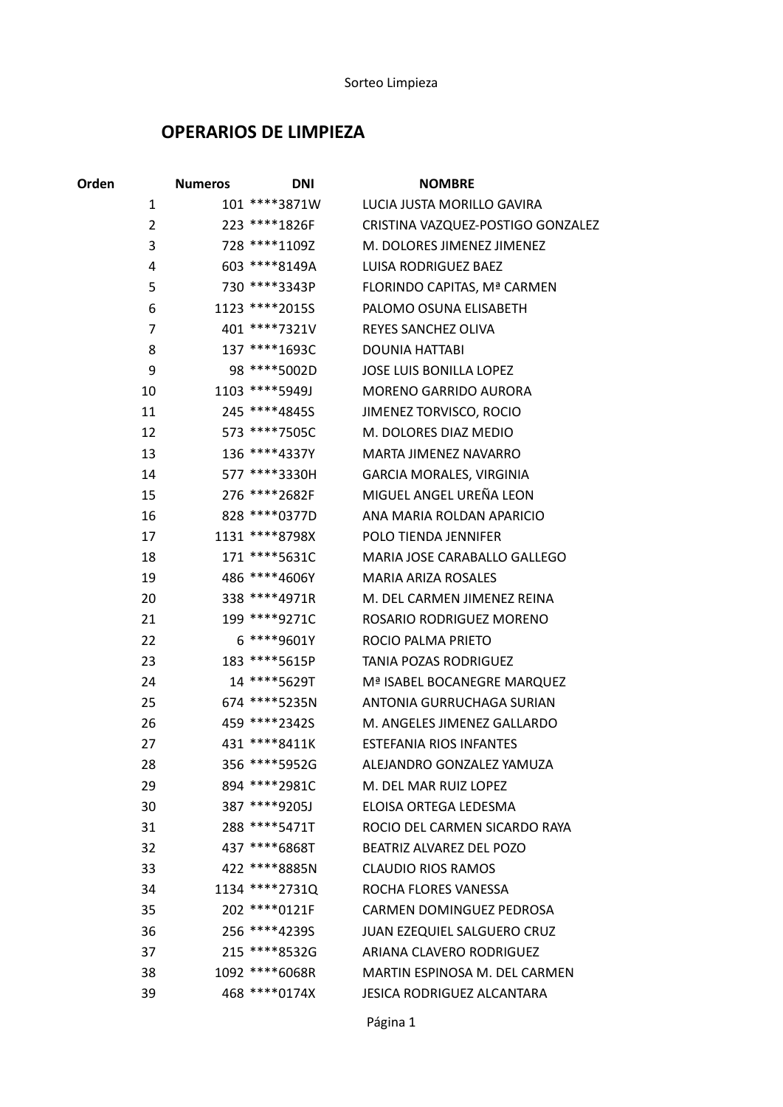## OPERARIOS DE LIMPIEZA

| Orden          | <b>Numeros</b> | <b>DNI</b>     | <b>NOMBRE</b>                      |
|----------------|----------------|----------------|------------------------------------|
| $\mathbf{1}$   |                | 101 ****3871W  | LUCIA JUSTA MORILLO GAVIRA         |
| $\overline{2}$ |                | 223 ****1826F  | CRISTINA VAZQUEZ-POSTIGO GONZALEZ  |
| 3              |                | 728 ****1109Z  | M. DOLORES JIMENEZ JIMENEZ         |
| 4              |                | 603 ****8149A  | LUISA RODRIGUEZ BAEZ               |
| 5              |                | 730 ****3343P  | FLORINDO CAPITAS, Mª CARMEN        |
| 6              |                | 1123 ****2015S | PALOMO OSUNA ELISABETH             |
| 7              |                | 401 *****7321V | <b>REYES SANCHEZ OLIVA</b>         |
| 8              |                | 137 *****1693C | <b>DOUNIA HATTABI</b>              |
| 9              |                | 98 **** 5002D  | <b>JOSE LUIS BONILLA LOPEZ</b>     |
| 10             |                | 1103 ****5949J | <b>MORENO GARRIDO AURORA</b>       |
| 11             |                | 245 ****48455  | JIMENEZ TORVISCO, ROCIO            |
| 12             |                | 573 ****7505C  | M. DOLORES DIAZ MEDIO              |
| 13             |                | 136 ****4337Y  | <b>MARTA JIMENEZ NAVARRO</b>       |
| 14             |                | 577 ****3330H  | <b>GARCIA MORALES, VIRGINIA</b>    |
| 15             |                | 276 ****2682F  | MIGUEL ANGEL UREÑA LEON            |
| 16             |                | 828 **** 0377D | ANA MARIA ROLDAN APARICIO          |
| 17             |                | 1131 ****8798X | POLO TIENDA JENNIFER               |
| 18             |                | 171 ****5631C  | MARIA JOSE CARABALLO GALLEGO       |
| 19             |                | 486 ****4606Y  | <b>MARIA ARIZA ROSALES</b>         |
| 20             |                | 338 ****4971R  | M. DEL CARMEN JIMENEZ REINA        |
| 21             |                | 199 ****9271C  | ROSARIO RODRIGUEZ MORENO           |
| 22             |                | 6 ****9601Y    | ROCIO PALMA PRIETO                 |
| 23             |                | 183 ****5615P  | TANIA POZAS RODRIGUEZ              |
| 24             |                | 14 ****5629T   | Mª ISABEL BOCANEGRE MARQUEZ        |
| 25             |                | 674 ****5235N  | ANTONIA GURRUCHAGA SURIAN          |
| 26             |                | 459 *****2342S | M. ANGELES JIMENEZ GALLARDO        |
| 27             |                | 431 **** 8411K | <b>ESTEFANIA RIOS INFANTES</b>     |
| 28             |                | 356 **** 5952G | ALEJANDRO GONZALEZ YAMUZA          |
| 29             |                | 894 ****2981C  | M. DEL MAR RUIZ LOPEZ              |
| 30             |                | 387 ****9205J  | ELOISA ORTEGA LEDESMA              |
| 31             |                | 288 **** 5471T | ROCIO DEL CARMEN SICARDO RAYA      |
| 32             |                | 437 ****6868T  | BEATRIZ ALVAREZ DEL POZO           |
| 33             |                | 422 ****8885N  | <b>CLAUDIO RIOS RAMOS</b>          |
| 34             |                | 1134 ****2731Q | ROCHA FLORES VANESSA               |
| 35             |                | 202 **** 0121F | CARMEN DOMINGUEZ PEDROSA           |
| 36             |                | 256 ****4239S  | <b>JUAN EZEQUIEL SALGUERO CRUZ</b> |
| 37             |                | 215 ****8532G  | ARIANA CLAVERO RODRIGUEZ           |
| 38             |                | 1092 ****6068R | MARTIN ESPINOSA M. DEL CARMEN      |
| 39             |                | 468 **** 0174X | JESICA RODRIGUEZ ALCANTARA         |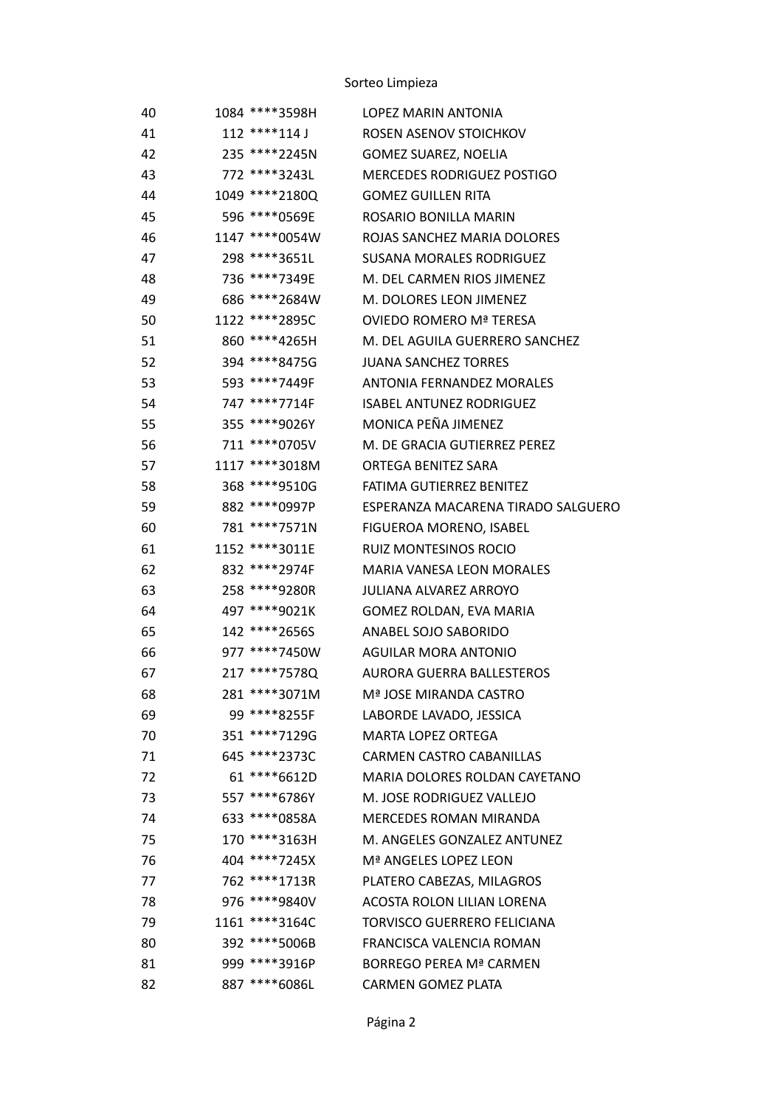## Sorteo Limpieza

| 40 | 1084 ****3598H   | <b>LOPEZ MARIN ANTONIA</b>         |
|----|------------------|------------------------------------|
| 41 | 112 ****114 J    | ROSEN ASENOV STOICHKOV             |
| 42 | 235 ****2245N    | <b>GOMEZ SUAREZ, NOELIA</b>        |
| 43 | 772 ****3243L    | <b>MERCEDES RODRIGUEZ POSTIGO</b>  |
| 44 | 1049 ****2180Q   | <b>GOMEZ GUILLEN RITA</b>          |
| 45 | 596 **** 0569E   | ROSARIO BONILLA MARIN              |
| 46 | 1147 ****0054W   | ROJAS SANCHEZ MARIA DOLORES        |
| 47 | 298 ****3651L    | <b>SUSANA MORALES RODRIGUEZ</b>    |
| 48 | 736 ****7349E    | M. DEL CARMEN RIOS JIMENEZ         |
| 49 | 686 ***** 2684 W | M. DOLORES LEON JIMENEZ            |
| 50 | 1122 ****2895C   | OVIEDO ROMERO Mª TERESA            |
| 51 | 860 ****4265H    | M. DEL AGUILA GUERRERO SANCHEZ     |
| 52 | 394 ****8475G    | <b>JUANA SANCHEZ TORRES</b>        |
| 53 | 593 ****7449F    | <b>ANTONIA FERNANDEZ MORALES</b>   |
| 54 | 747 ****7714F    | <b>ISABEL ANTUNEZ RODRIGUEZ</b>    |
| 55 | 355 ****9026Y    | MONICA PEÑA JIMENEZ                |
| 56 | 711 **** 0705V   | M. DE GRACIA GUTIERREZ PEREZ       |
| 57 | 1117 ****3018M   | <b>ORTEGA BENITEZ SARA</b>         |
| 58 | 368 ****9510G    | FATIMA GUTIERREZ BENITEZ           |
| 59 | 882 ****0997P    | ESPERANZA MACARENA TIRADO SALGUERO |
| 60 | 781 ****7571N    | FIGUEROA MORENO, ISABEL            |
| 61 | 1152 ****3011E   | <b>RUIZ MONTESINOS ROCIO</b>       |
| 62 | 832 ****2974F    | <b>MARIA VANESA LEON MORALES</b>   |
| 63 | 258 ****9280R    | <b>JULIANA ALVAREZ ARROYO</b>      |
| 64 | 497 ****9021K    | GOMEZ ROLDAN, EVA MARIA            |
| 65 | 142 ****2656S    | ANABEL SOJO SABORIDO               |
| 66 | 977 ****7450W    | <b>AGUILAR MORA ANTONIO</b>        |
| 67 | 217 ****7578Q    | AURORA GUERRA BALLESTEROS          |
| 68 | 281 ****3071M    | Mª JOSE MIRANDA CASTRO             |
| 69 | 99 ****8255F     | LABORDE LAVADO, JESSICA            |
| 70 | 351 ****7129G    | <b>MARTA LOPEZ ORTEGA</b>          |
| 71 | 645 *****2373C   | <b>CARMEN CASTRO CABANILLAS</b>    |
| 72 | 61 **** 6612D    | MARIA DOLORES ROLDAN CAYETANO      |
| 73 | 557 ****6786Y    | M. JOSE RODRIGUEZ VALLEJO          |
| 74 | 633 ****0858A    | <b>MERCEDES ROMAN MIRANDA</b>      |
| 75 | 170 ****3163H    | M. ANGELES GONZALEZ ANTUNEZ        |
| 76 | 404 ****7245X    | Mª ANGELES LOPEZ LEON              |
| 77 | 762 *****1713R   | PLATERO CABEZAS, MILAGROS          |
| 78 | 976 ****9840V    | <b>ACOSTA ROLON LILIAN LORENA</b>  |
| 79 | 1161 ****3164C   | <b>TORVISCO GUERRERO FELICIANA</b> |
| 80 | 392 ****5006B    | <b>FRANCISCA VALENCIA ROMAN</b>    |
| 81 | 999 ****3916P    | <b>BORREGO PEREA Mª CARMEN</b>     |
| 82 | 887 ****6086L    | <b>CARMEN GOMEZ PLATA</b>          |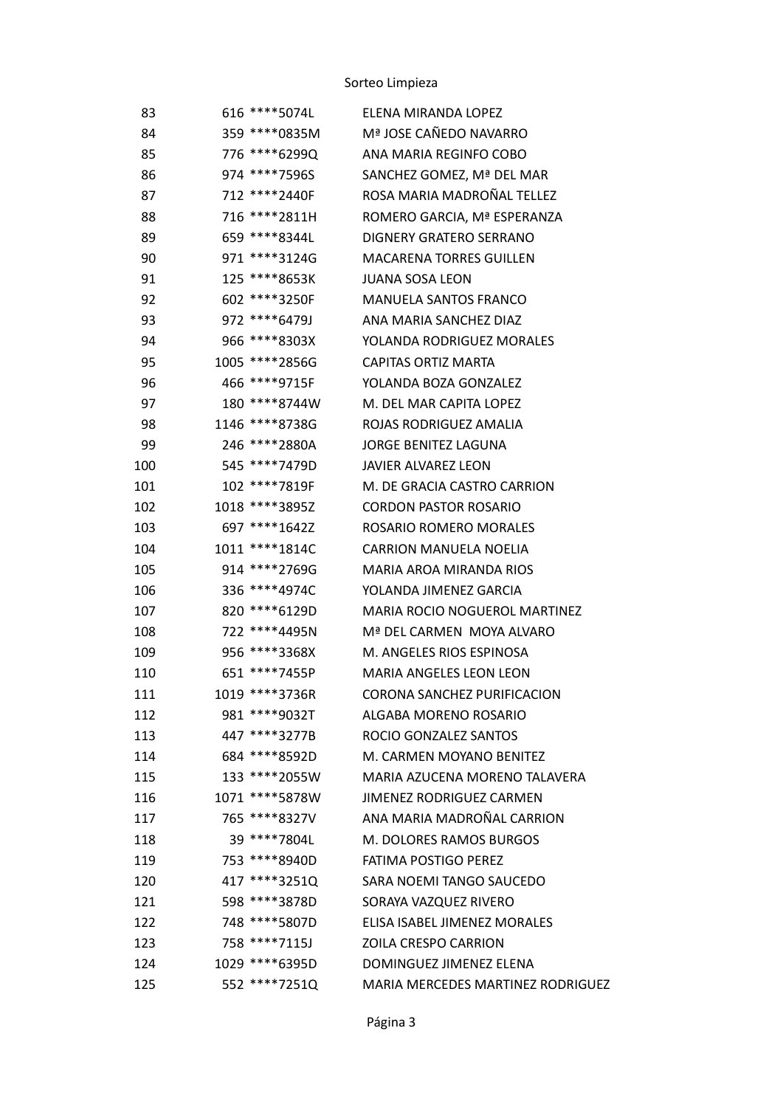## Sorteo Limpieza

| 83  | 616 ****5074L   | ELENA MIRANDA LOPEZ               |
|-----|-----------------|-----------------------------------|
| 84  | 359 ****0835M   | Mª JOSE CAÑEDO NAVARRO            |
| 85  | 776 ****6299Q   | ANA MARIA REGINFO COBO            |
| 86  | 974 ****7596S   | SANCHEZ GOMEZ, Mª DEL MAR         |
| 87  | 712 *****2440F  | ROSA MARIA MADROÑAL TELLEZ        |
| 88  | 716 ***** 2811H | ROMERO GARCIA, Mª ESPERANZA       |
| 89  | 659 ****8344L   | DIGNERY GRATERO SERRANO           |
| 90  | 971 ****3124G   | <b>MACARENA TORRES GUILLEN</b>    |
| 91  | 125 ****8653K   | <b>JUANA SOSA LEON</b>            |
| 92  | 602 ****3250F   | MANUELA SANTOS FRANCO             |
| 93  | 972 ****6479J   | ANA MARIA SANCHEZ DIAZ            |
| 94  | 966 ****8303X   | YOLANDA RODRIGUEZ MORALES         |
| 95  | 1005 **** 2856G | <b>CAPITAS ORTIZ MARTA</b>        |
| 96  | 466 ****9715F   | YOLANDA BOZA GONZALEZ             |
| 97  | 180 ****8744W   | M. DEL MAR CAPITA LOPEZ           |
| 98  | 1146 ****8738G  | ROJAS RODRIGUEZ AMALIA            |
| 99  | 246 *****2880A  | <b>JORGE BENITEZ LAGUNA</b>       |
| 100 | 545 ****7479D   | <b>JAVIER ALVAREZ LEON</b>        |
| 101 | 102 ****7819F   | M. DE GRACIA CASTRO CARRION       |
| 102 | 1018 ****3895Z  | <b>CORDON PASTOR ROSARIO</b>      |
| 103 | 697 ****1642Z   | ROSARIO ROMERO MORALES            |
| 104 | 1011 ****1814C  | <b>CARRION MANUELA NOELIA</b>     |
| 105 | 914 ****2769G   | MARIA AROA MIRANDA RIOS           |
| 106 | 336 ****4974C   | YOLANDA JIMENEZ GARCIA            |
| 107 | 820 ****6129D   | MARIA ROCIO NOGUEROL MARTINEZ     |
| 108 | 722 ****4495N   | Mª DEL CARMEN MOYA ALVARO         |
| 109 | 956 ****3368X   | M. ANGELES RIOS ESPINOSA          |
| 110 | 651 ****7455P   | <b>MARIA ANGELES LEON LEON</b>    |
| 111 | 1019 *****3736R | CORONA SANCHEZ PURIFICACION       |
| 112 | 981 ****9032T   | ALGABA MORENO ROSARIO             |
| 113 | 447 ****3277B   | ROCIO GONZALEZ SANTOS             |
| 114 | 684 ****8592D   | M. CARMEN MOYANO BENITEZ          |
| 115 | 133 ****2055W   | MARIA AZUCENA MORENO TALAVERA     |
| 116 | 1071 ****5878W  | <b>JIMENEZ RODRIGUEZ CARMEN</b>   |
| 117 | 765 ****8327V   | ANA MARIA MADROÑAL CARRION        |
| 118 | 39 ****7804L    | M. DOLORES RAMOS BURGOS           |
| 119 | 753 ****8940D   | <b>FATIMA POSTIGO PEREZ</b>       |
| 120 | 417 *****32510  | SARA NOEMI TANGO SAUCEDO          |
| 121 | 598 ****3878D   | SORAYA VAZQUEZ RIVERO             |
| 122 | 748 ****5807D   | ELISA ISABEL JIMENEZ MORALES      |
| 123 | 758 ****7115J   | <b>ZOILA CRESPO CARRION</b>       |
| 124 | 1029 ****6395D  | DOMINGUEZ JIMENEZ ELENA           |
| 125 | 552 ****7251Q   | MARIA MERCEDES MARTINEZ RODRIGUEZ |